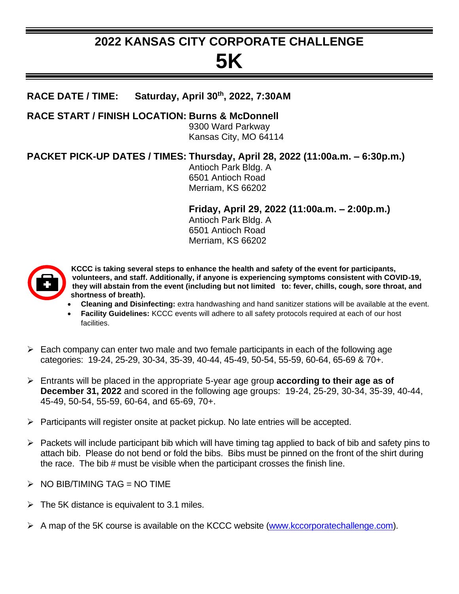## **2022 KANSAS CITY CORPORATE CHALLENGE**

# **5K**

#### **RACE DATE / TIME: Saturday, April 30th, 2022, 7:30AM**

**RACE START / FINISH LOCATION: Burns & McDonnell**

9300 Ward Parkway Kansas City, MO 64114

### **PACKET PICK-UP DATES / TIMES: Thursday, April 28, 2022 (11:00a.m. – 6:30p.m.)**

Antioch Park Bldg. A 6501 Antioch Road Merriam, KS 66202

**Friday, April 29, 2022 (11:00a.m. – 2:00p.m.)**

Antioch Park Bldg. A 6501 Antioch Road Merriam, KS 66202



**KCCC is taking several steps to enhance the health and safety of the event for participants, volunteers, and staff. Additionally, if anyone is experiencing symptoms consistent with COVID-19, they will abstain from the event (including but not limited to: fever, chills, cough, sore throat, and shortness of breath).**

- **Cleaning and Disinfecting:** extra handwashing and hand sanitizer stations will be available at the event.
- **Facility Guidelines:** KCCC events will adhere to all safety protocols required at each of our host facilities.
- $\triangleright$  Each company can enter two male and two female participants in each of the following age categories: 19-24, 25-29, 30-34, 35-39, 40-44, 45-49, 50-54, 55-59, 60-64, 65-69 & 70+.
- ➢ Entrants will be placed in the appropriate 5-year age group **according to their age as of December 31, 2022** and scored in the following age groups: 19-24, 25-29, 30-34, 35-39, 40-44, 45-49, 50-54, 55-59, 60-64, and 65-69, 70+.
- $\triangleright$  Participants will register onsite at packet pickup. No late entries will be accepted.
- $\triangleright$  Packets will include participant bib which will have timing tag applied to back of bib and safety pins to attach bib. Please do not bend or fold the bibs. Bibs must be pinned on the front of the shirt during the race. The bib # must be visible when the participant crosses the finish line.
- $\triangleright$  NO BIB/TIMING TAG = NO TIME
- $\triangleright$  The 5K distance is equivalent to 3.1 miles.
- ➢ A map of the 5K course is available on the KCCC website [\(www.kccorporatechallenge.com\)](http://www.kccorporatechallenge.com/).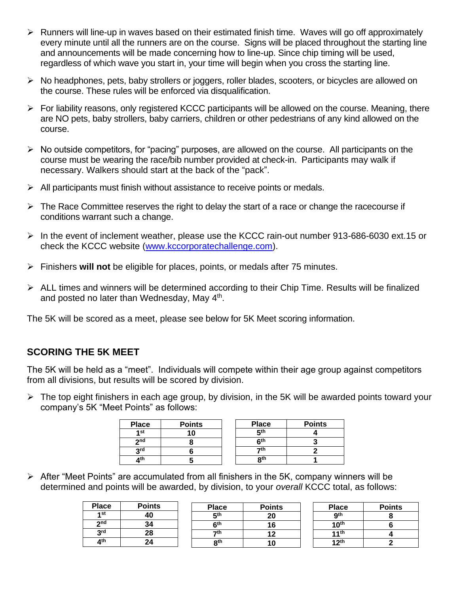- $\triangleright$  Runners will line-up in waves based on their estimated finish time. Waves will go off approximately every minute until all the runners are on the course. Signs will be placed throughout the starting line and announcements will be made concerning how to line-up. Since chip timing will be used, regardless of which wave you start in, your time will begin when you cross the starting line.
- ➢ No headphones, pets, baby strollers or joggers, roller blades, scooters, or bicycles are allowed on the course. These rules will be enforced via disqualification.
- ➢ For liability reasons, only registered KCCC participants will be allowed on the course. Meaning, there are NO pets, baby strollers, baby carriers, children or other pedestrians of any kind allowed on the course.
- ➢ No outside competitors, for "pacing" purposes, are allowed on the course. All participants on the course must be wearing the race/bib number provided at check-in. Participants may walk if necessary. Walkers should start at the back of the "pack".
- $\triangleright$  All participants must finish without assistance to receive points or medals.
- $\triangleright$  The Race Committee reserves the right to delay the start of a race or change the racecourse if conditions warrant such a change.
- ➢ In the event of inclement weather, please use the KCCC rain-out number 913-686-6030 ext.15 or check the KCCC website [\(www.kccorporatechallenge.com\)](http://www.kccorporatechallenge.com/).
- ➢ Finishers **will not** be eligible for places, points, or medals after 75 minutes.
- $\triangleright$  ALL times and winners will be determined according to their Chip Time. Results will be finalized and posted no later than Wednesday, May 4<sup>th</sup>.

The 5K will be scored as a meet, please see below for 5K Meet scoring information.

#### **SCORING THE 5K MEET**

The 5K will be held as a "meet". Individuals will compete within their age group against competitors from all divisions, but results will be scored by division.

➢ The top eight finishers in each age group, by division, in the 5K will be awarded points toward your company's 5K "Meet Points" as follows:

| <b>Place</b>    | <b>Points</b> | <b>Place</b> | <b>Points</b> |
|-----------------|---------------|--------------|---------------|
| 4st             |               | cth          |               |
| 2 <sub>nd</sub> |               | cth          |               |
| <b>2rd</b>      |               | ₹th          |               |
| ∕∕lth           |               | oth          |               |

➢ After "Meet Points" are accumulated from all finishers in the 5K, company winners will be determined and points will be awarded, by division, to your *overall* KCCC total, as follows:

| <b>Place</b>    | <b>Points</b> | <b>Place</b>    | <b>Points</b> | <b>Place</b>     | <b>Points</b> |
|-----------------|---------------|-----------------|---------------|------------------|---------------|
| 4 <sub>st</sub> | 40            | 5 <sup>th</sup> | 20            | Qth              |               |
| 2nd             | 34            | 6 <sup>th</sup> |               | 10 <sup>th</sup> |               |
| 2rd             | 28            | 7th             |               | 11 <sup>th</sup> |               |
| ⊿th             | 24            | 8 <sup>th</sup> |               | 12 <sup>th</sup> |               |